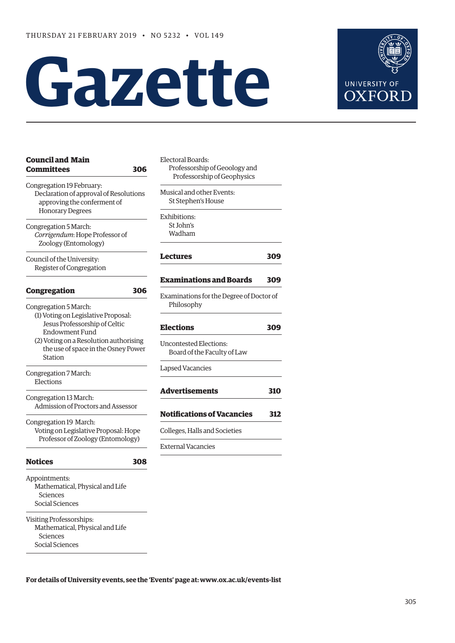# **Gazette**



**[L](#page-4-0)[ectures 30](#page-3-0)[9](#page-4-0)**

**[Examinations and Boards 309](#page-4-0)**

**[Elections 309](#page-4-0)**

**310** 

**312** 

| <b>Council and Main</b><br>Committees<br>306                                                               | Electoral Boards:<br>Professorship of Geoology and<br>Professorship of Geophysics |     |
|------------------------------------------------------------------------------------------------------------|-----------------------------------------------------------------------------------|-----|
| Congregation 19 February:<br>Declaration of approval of Resolutions<br>approving the conferment of         | Musical and other Events:<br>St Stephen's House                                   |     |
| <b>Honorary Degrees</b><br>Congregation 5 March:<br>Corrigendum: Hope Professor of<br>Zoology (Entomology) | Exhibitions:<br>St John's<br>Wadham                                               |     |
| Council of the University:<br>Register of Congregation                                                     | Lectures                                                                          | 309 |
|                                                                                                            | <b>Examinations and Boards</b>                                                    | 309 |
| Congregation<br>306<br>Congregation 5 March:                                                               | Examinations for the Degree of Doctor of<br>Philosophy                            |     |
| (1) Voting on Legislative Proposal:<br>Jesus Professorship of Celtic<br><b>Endowment Fund</b>              | <b>Elections</b>                                                                  | 309 |
| (2) Voting on a Resolution authorising<br>the use of space in the Osney Power<br><b>Station</b>            | <b>Uncontested Elections:</b><br>Board of the Faculty of Law                      |     |
| Congregation 7 March:<br>Elections                                                                         | <b>Lapsed Vacancies</b>                                                           |     |
| Congregation 13 March:<br>Admission of Proctors and Assessor                                               | <b>Advertisements</b>                                                             | 310 |
| Congregation 19 March:<br>Voting on Legislative Proposal: Hope<br>Professor of Zoology (Entomology)        | <b>Notifications of Vacancies</b>                                                 | 312 |
|                                                                                                            | Colleges, Halls and Societies                                                     |     |
|                                                                                                            | <b>External Vacancies</b>                                                         |     |
| <b>Notices</b><br>308                                                                                      |                                                                                   |     |
| Appointments:<br>Mathematical, Physical and Life<br>Sciences<br>Social Sciences                            |                                                                                   |     |
| Visiting Professorships:<br>Mathematical, Physical and Life<br>Sciences<br>Social Sciences                 |                                                                                   |     |

**For details of University events, see the 'Events' page at: [www.ox.ac.uk/events-list](http://www.ox.ac.uk/events-list)**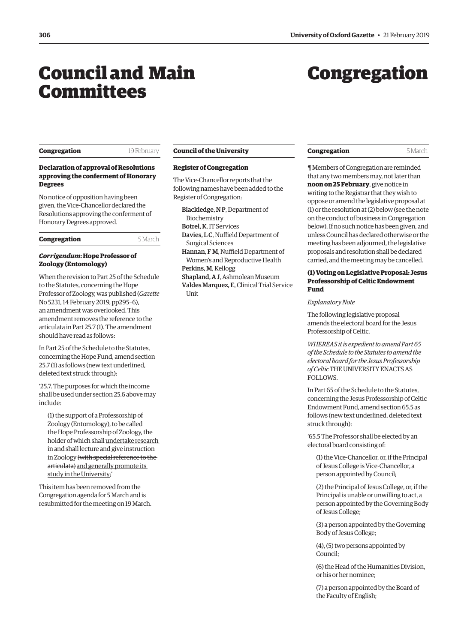## <span id="page-1-0"></span>Council and Main Committees

# Congregation

#### **Congregation** 19 February

#### **Declaration of approval of Resolutions approving the conferment of Honorary Degrees**

No notice of opposition having been given, the Vice-Chancellor declared the Resolutions approving the conferment of Honorary Degrees approved.

**Congregation** 5 March

#### *Corrigendum***: Hope Professor of Zoology (Entomology)**

When the revision to Part 25 of the Schedule to the Statutes, concerning the Hope Professor of Zoology, was published (*Gazette* [No 5231, 14 February 2019, pp295–6\),](https://gazette.web.ox.ac.uk/sites/default/files/gazette/documents/media/14_february_2019_-_no_5231_redacted.pdf#page=7)  an amendment was overlooked. This amendment removes the reference to the articulata in Part 25.7 (1). The amendment should have read as follows:

In Part 25 of the Schedule to the Statutes, concerning the Hope Fund, amend section 25.7 (1) as follows (new text underlined, deleted text struck through):

'25.7. The purposes for which the income shall be used under section 25.6 above may include:

(1) the support of a Professorship of Zoology (Entomology), to be called the Hope Professorship of Zoology, the holder of which shall undertake research in and shall lecture and give instruction in Zoology (with special reference to the articulata) and generally promote its study in the University;'

This item has been removed from the Congregation agenda for 5 March and is resubmitted for the meeting on 19 March.

#### **Council of the University**

#### **Register of Congregation**

The Vice-Chancellor reports that the following names have been added to the Register of Congregation:

Blackledge, N P, Department of Biochemistry Botrel, K, IT Services

Davies, L C, Nuffield Department of Surgical Sciences

Hannan, F M, Nuffield Department of Women's and Reproductive Health Perkins, M, Kellogg

Shapland, A J, Ashmolean Museum Valdes Marquez, E, Clinical Trial Service **Unit** 

**Congregation** 5 March

¶ Members of Congregation are reminded that any two members may, not later than **noon on 25 February**, give notice in writing to the Registrar that they wish to oppose or amend the legislative proposal at (1) or the resolution at (2) below (see the note on the conduct of business in Congregation below). If no such notice has been given, and unless Council has declared otherwise or the meeting has been adjourned, the legislative proposals and resolution shall be declared carried, and the meeting may be cancelled.

### **(1) Voting on Legislative Proposal: Jesus Professorship of Celtic Endowment Fund**

*Explanatory Note*

The following legislative proposal amends the electoral board for the Jesus Professorship of Celtic.

*WHEREAS it is expedient to amend Part 65 of the Schedule to the Statutes to amend the electoral board for the Jesus Professorship of Celtic* THE UNIVERSITY ENACTS AS FOLLOWS.

In Part 65 of the Schedule to the Statutes, concerning the Jesus Professorship of Celtic Endowment Fund, amend section 65.5 as follows (new text underlined, deleted text struck through):

'65.5 The Professor shall be elected by an electoral board consisting of:

(1) the Vice-Chancellor, or, if the Principal of Jesus College is Vice-Chancellor, a person appointed by Council;

(2) the Principal of Jesus College, or, if the Principal is unable or unwilling to act, a person appointed by the Governing Body of Jesus College;

(3) a person appointed by the Governing Body of Jesus College;

(4), (5) two persons appointed by Council;

(6) the Head of the Humanities Division, or his or her nominee;

(7) a person appointed by the Board of the Faculty of English;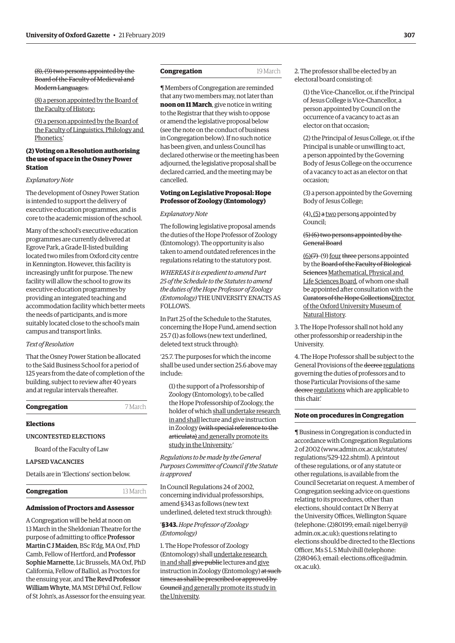<span id="page-2-0"></span>(8), (9) two persons appointed by the Board of the Faculty of Medieval and Modern Languages.

(8) a person appointed by the Board of the Faculty of History;

(9) a person appointed by the Board of the Faculty of Linguistics, Philology and Phonetics.'

#### **(2) Voting on a Resolution authorising the use of space in the Osney Power Station**

#### *Explanatory Note*

The development of Osney Power Station is intended to support the delivery of executive education programmes, and is core to the academic mission of the school.

Many of the school's executive education programmes are currently delivered at Egrove Park, a Grade II-listed building located two miles from Oxford city centre in Kennington. However, this facility is increasingly unfit for purpose. The new facility will allow the school to grow its executive education programmes by providing an integrated teaching and accommodation facility which better meets the needs of participants, and is more suitably located close to the school's main campus and transport links.

#### *Text of Resolution*

That the Osney Power Station be allocated to the Saïd Business School for a period of 125 years from the date of completion of the building, subject to review after 40 years and at regular intervals thereafter.

**Congregation** 7 March

#### **Elections**

UNCONTESTED ELECTIONS

Board of the Faculty of Law

#### LAPSED VACANCIES

Details are in 'Elections' section below.

#### **Congregation** 13 March

## **Admission of Proctors and Assessor**

A Congregation will be held at noon on 13 March in the Sheldonian Theatre for the purpose of admitting to office Professor Martin C J Maiden, BSc R'dg, MA Oxf, PhD Camb, Fellow of Hertford, and Professor Sophie Marnette, Lic Brussels, MA Oxf, PhD California, Fellow of Balliol, as Proctors for the ensuing year, and The Revd Professor William Whyte, MA MSt DPhil Oxf, Fellow of St John's, as Assessor for the ensuing year.

#### **Congregation** 19 March

¶ Members of Congregation are reminded that any two members may, not later than **noon on 11 March**, give notice in writing to the Registrar that they wish to oppose or amend the legislative proposal below (see the note on the conduct of business in Congregation below). If no such notice has been given, and unless Council has declared otherwise or the meeting has been adjourned, the legislative proposal shall be declared carried, and the meeting may be cancelled.

#### **Voting on Legislative Proposal: Hope Professor of Zoology (Entomology)**

#### *Explanatory Note*

The following legislative proposal amends the duties of the Hope Professor of Zoology (Entomology). The opportunity is also taken to amend outdated references in the regulations relating to the statutory post.

*WHEREAS it is expedient to amend Part 25 of the Schedule to the Statutes to amend the duties of the Hope Professor of Zoology (Entomology)* THE UNIVERSITY ENACTS AS FOLLOWS.

In Part 25 of the Schedule to the Statutes, concerning the Hope Fund, amend section 25.7 (1) as follows (new text underlined, deleted text struck through):

'25.7. The purposes for which the income shall be used under section 25.6 above may include:

(1) the support of a Professorship of Zoology (Entomology), to be called the Hope Professorship of Zoology, the holder of which shall undertake research in and shall lecture and give instruction in Zoology (with special reference to the articulata) and generally promote its study in the University;'

*Regulations to be made by the General Purposes Committee of Council if the Statute is approved*

In Council Regulations 24 of 2002, concerning individual professorships, amend §343 as follows (new text underlined, deleted text struck through):

#### '**§343.** *Hope Professor of Zoology (Entomology)*

1. The Hope Professor of Zoology (Entomology) shall undertake research in and shall give public lectures and give instruction in Zoology (Entomology) at such times as shall be prescribed or approved by Council and generally promote its study in the University.

2. The professor shall be elected by an electoral board consisting of:

(1) the Vice-Chancellor, or, if the Principal of Jesus College is Vice-Chancellor, a person appointed by Council on the occurrence of a vacancy to act as an elector on that occasion;

(2) the Principal of Jesus College, or, if the Principal is unable or unwilling to act, a person appointed by the Governing Body of Jesus College on the occurrence of a vacancy to act as an elector on that occasion;

(3) a person appointed by the Governing Body of Jesus College;

(4), (5) a two persons appointed by Council;

#### (5) (6) two persons appointed by the General Board

 $(6)(7)$ - $(9)$  four three persons appointed by the Board of the Faculty of Biological Sciences Mathematical, Physical and Life Sciences Board, of whom one shall be appointed after consultation with the Curators of the Hope CollectionsDirector of the Oxford University Museum of Natural History.

3. The Hope Professor shall not hold any other professorship or readership in the University.

4. The Hope Professor shall be subject to the General Provisions of the decree regulations governing the duties of professors and to those Particular Provisions of the same decree regulations which are applicable to this chair.'

#### **Note on procedures in Congregation**

¶ Business in Congregation is conducted in accordance with Congregation Regulations 2 of 2002 [\(www.admin.ox.ac.uk/statutes/](http://www.admin.ox.ac.uk/statutes/regulations/529-122.shtml) [regulations/529-122.shtml\). A p](http://www.admin.ox.ac.uk/statutes/regulations/529-122.shtml)rintout of these regulations, or of any statute or other regulations, is available from the Council Secretariat on request. A member of Congregation seeking advice on questions relating to its procedures, other than elections, should contact Dr N Berry at the University Offices, Wellington Square [\(telephone: \(2\)80199; email: nigel.berry@](mailto:nigel.berry@admin.ox.ac.uk) admin.ox.ac.uk); questions relating to elections should be directed to the Elections Officer, Ms S L S Mulvihill (telephone: [\(2\)80463; email: elections.office@admin.](mailto:elections.office@admin.ox.ac.uk) ox.ac.uk).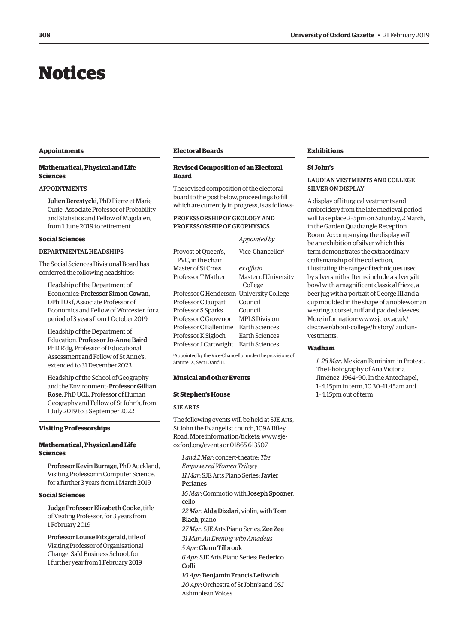## <span id="page-3-0"></span>Notices

#### **Appointments**

#### **Mathematical, Physical and Life Sciences**

#### APPOINTMENTS

Julien Berestycki, PhD Pierre et Marie Curie, Associate Professor of Probability and Statistics and Fellow of Magdalen, from 1 June 2019 to retirement

#### **Social Sciences**

### DEPARTMENTAL HEADSHIPS

The Social Sciences Divisional Board has conferred the following headships:

Headship of the Department of Economics: Professor Simon Cowan, DPhil Oxf, Associate Professor of Economics and Fellow of Worcester, for a period of 3 years from 1 October 2019

Headship of the Department of Education: Professor Jo-Anne Baird, PhD R'dg, Professor of Educational Assessment and Fellow of St Anne's, extended to 31 December 2023

Headship of the School of Geography and the Environment: Professor Gillian Rose, PhD UCL, Professor of Human Geography and Fellow of St John's, from 1 July 2019 to 3 September 2022

#### **Visiting Professorships**

#### **Mathematical, Physical and Life Sciences**

Professor Kevin Burrage, PhD Auckland, Visiting Professor in Computer Science, for a further 3 years from 1 March 2019

#### **Social Sciences**

Judge Professor Elizabeth Cooke, title of Visiting Professor, for 3 years from 1 February 2019

Professor Louise Fitzgerald, title of Visiting Professor of Organisational Change, Saïd Business School, for 1 further year from 1 February 2019

#### **Electoral Boards**

#### **Revised Composition of an Electoral Board**

The revised composition of the electoral board to the post below, proceedings to fill which are currently in progress, is as follows:

*Appointed by*

#### PROFESSORSHIP OF GEOLOGY AND PROFESSORSHIP OF GEOPHYSICS

|                                          | Appointed by                 |
|------------------------------------------|------------------------------|
| Provost of Oueen's.<br>PVC, in the chair | Vice-Chancellor <sup>1</sup> |
| Master of St Cross                       | ex officio                   |
| Professor T Mather                       | <b>Master of University</b>  |
|                                          | College                      |
| Professor G Henderson                    | <b>University College</b>    |
| Professor C Jaupart                      | Council                      |
| Professor S Sparks                       | Council                      |
| Professor C Grovenor                     | <b>MPLS Division</b>         |
| Professor C Ballentine                   | Earth Sciences               |
| Professor K Sigloch                      | Earth Sciences               |
| Professor J Cartwright                   | Earth Sciences               |

1 Appointed by the Vice-Chancellor under the provisions of Statute IX, Sect 10 and 11.

#### **Musical and other Events**

#### **St Stephen's House**

#### SJE ARTS

The following events will be held at SJE Arts, St John the Evangelist church, 109A Iffley Road. More information/tickets: [www.sje](http://www.sje-oxford.org/events)[oxford.org/events](http://www.sje-oxford.org/events) or 01865 613507.

*1 and 2 Mar*: concert-theatre: *The Empowered Women Trilogy 11 Mar*: SJE Arts Piano Series: Javier Perianes *16 Mar*: Commotio with Joseph Spooner, cello *22 Mar*: Alda Dizdari, violin, with Tom Blach, piano *27 Mar*: SJE Arts Piano Series: Zee Zee *31 Mar*: *An Evening with Amadeus 5 Apr*: Glenn Tilbrook *6 Apr*: SJE Arts Piano Series: Federico Colli *10 Apr*: Benjamin Francis Leftwich *20 Apr*: Orchestra of St John's and OSJ Ashmolean Voices

#### **Exhibitions**

#### **St John's**

#### LAUDIAN VESTMENTS AND COLLEGE SILVER ON DISPLAY

A display of liturgical vestments and embroidery from the late medieval period will take place 2–5pm on Saturday, 2 March, in the Garden Quadrangle Reception Room. Accompanying the display will be an exhibition of silver which this term demonstrates the extraordinary craftsmanship of the collection, illustrating the range of techniques used by silversmiths. Items include a silver gilt bowl with a magnificent classical frieze, a beer jug with a portrait of George III and a cup moulded in the shape of a noblewoman wearing a corset, ruff and padded sleeves. More information: [www.sjc.ox.ac.uk/](http://www.sjc.ox.ac.uk/discover/about-college/history/laudian-vestments) [discover/about-college/history/laudian](http://www.sjc.ox.ac.uk/discover/about-college/history/laudian-vestments)[vestments.](http://www.sjc.ox.ac.uk/discover/about-college/history/laudian-vestments)

#### **Wadham**

*1–28 Mar*: Mexican Feminism in Protest: The Photography of Ana Victoria Jiménez, 1964–90. In the Antechapel, 1–4.15pm in term, 10.30–11.45am and 1–4.15pm out of term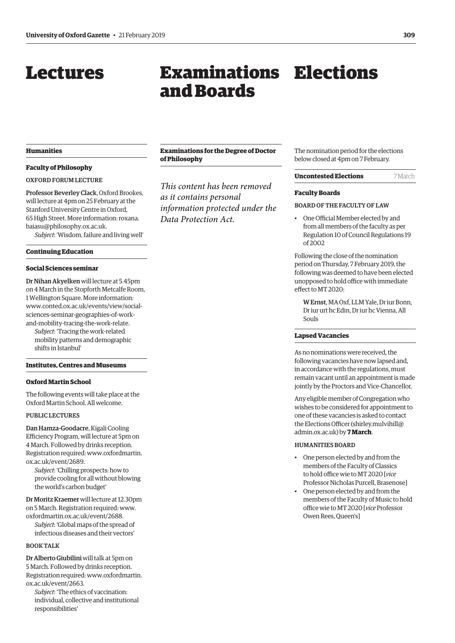## <span id="page-4-0"></span>**Lectures**

## Examinations Elections and Boards

#### **Humanities**

#### **Faculty of Philosophy**

#### OXFORD FORUM LECTURE

Professor Beverley Clack, Oxford Brookes, will lecture at 4pm on 25 February at the Stanford University Centre in Oxford, 65 High Street. More information: [roxana.](mailto:roxana.baiasu@philosophy.ox.ac.uk) [baiasu@philosophy.ox.ac.uk](mailto:roxana.baiasu@philosophy.ox.ac.uk).

*Subject*: 'Wisdom, failure and living well'

#### **Continuing Education**

#### **Social Sciences seminar**

Dr Nihan Akyelken will lecture at 5.45pm on 4 March in the Stopforth Metcalfe Room, 1 Wellington Square. More information: [www.conted.ox.ac.uk/events/view/social](http://www.conted.ox.ac.uk/events/view/social-sciences-seminar-geographies-of-work-and-mobility-tracing-the-work-relate)[sciences-seminar-geographies-of-work](http://www.conted.ox.ac.uk/events/view/social-sciences-seminar-geographies-of-work-and-mobility-tracing-the-work-relate)[and-mobility-tracing-the-work-relate.](http://www.conted.ox.ac.uk/events/view/social-sciences-seminar-geographies-of-work-and-mobility-tracing-the-work-relate)

*Subject*: 'Tracing the work-related mobility patterns and demographic shifts in Istanbul'

#### **Institutes, Centres and Museums**

#### **Oxford Martin School**

The following events will take place at the Oxford Martin School. All welcome.

#### PUBLIC LECTURES

Dan Hamza-Goodacre, Kigali Cooling Efficiency Program, will lecture at 5pm on 4 March. Followed by drinks reception. Registration required: [www.oxfordmartin.](http://www.oxfordmartin.ox.ac.uk/event/2689) [ox.ac.uk/event/2689.](http://www.oxfordmartin.ox.ac.uk/event/2689)

*Subject*: 'Chilling prospects: how to provide cooling for all without blowing the world's carbon budget'

Dr Moritz Kraemer will lecture at 12.30pm on 5 March. Registration required: [www.](http://www.oxfordmartin.ox.ac.uk/event/2688) [oxfordmartin.ox.ac.uk/event/2688.](http://www.oxfordmartin.ox.ac.uk/event/2688)

*Subject*: 'Global maps of the spread of infectious diseases and their vectors'

#### BOOK TALK

Dr Alberto Giubilini will talk at 5pm on 5 March. Followed by drinks reception. Registration required: [www.oxfordmartin.](http://www.oxfordmartin.ox.ac.uk/event/2663) [ox.ac.uk/event/2663.](http://www.oxfordmartin.ox.ac.uk/event/2663)

*Subject*: 'The ethics of vaccination: individual, collective and institutional responsibilities'

#### **Examinations for the Degree of Doctor of Philosophy**

*This content has been removed as it contains personal information protected under the Data Protection Act.*

The nomination period for the elections below closed at 4pm on 7 February.

#### **Uncontested Elections** 7 March

#### **Faculty Boards**

#### BOARD OF THE FACULTY OF LAW

• One Official Member elected by and from all members of the faculty as per Regulation 10 of Council Regulations 19 of 2002

Following the close of the nomination period on Thursday, 7 February 2019, the following was deemed to have been elected unopposed to hold office with immediate effect to MT 2020:

W Ernst, MA Oxf, LLM Yale, Dr iur Bonn, Dr iur urt hc Edin, Dr iur hc Vienna, All Souls

#### **Lapsed Vacancies**

As no nominations were received, the following vacancies have now lapsed and, in accordance with the regulations, must remain vacant until an appointment is made jointly by the Proctors and Vice-Chancellor.

Any eligible member of Congregation who wishes to be considered for appointment to one of these vacancies is asked to contact the Elections Officer [\(shirley.mulvihill@](mailto:shirley.mulvihill@admin.ox.ac.uk) [admin.ox.ac.uk](mailto:shirley.mulvihill@admin.ox.ac.uk)) by **7 March**.

#### HUMANITIES BOARD

- One person elected by and from the members of the Faculty of Classics to hold office wie to MT 2020 [*vice* Professor Nicholas Purcell, Brasenose]
- One person elected by and from the members of the Faculty of Music to hold office wie to MT 2020 [*vice* Professor Owen Rees, Queen's]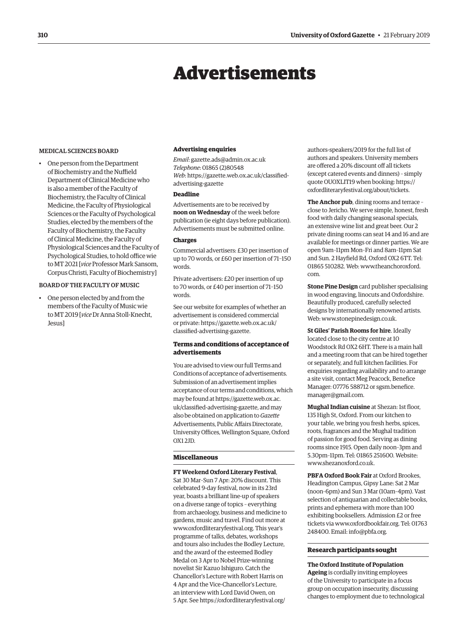## Advertisements

#### <span id="page-5-0"></span>MEDICAL SCIENCES BOARD

• One person from the Department of Biochemistry and the Nuffield Department of Clinical Medicine who is also a member of the Faculty of Biochemistry, the Faculty of Clinical Medicine, the Faculty of Physiological Sciences or the Faculty of Psychological Studies, elected by the members of the Faculty of Biochemistry, the Faculty of Clinical Medicine, the Faculty of Physiological Sciences and the Faculty of Psychological Studies, to hold office wie to MT 2021 [*vice* Professor Mark Sansom, Corpus Christi, Faculty of Biochemistry]

#### BOARD OF THE FACULTY OF MUSIC

• One person elected by and from the members of the Faculty of Music wie to MT 2019 [*vice* Dr Anna Stoll-Knecht, Jesus]

#### **Advertising enquiries**

*Email*: [gazette.ads@admin.ox.ac.uk](mailto:gazette.ads@admin.ox.ac.uk) *Telephone*: 01865 (2)80548 *Web*[: https://gazette.web.ox.ac.uk/classified](https://gazette.web.ox.ac.uk/classified-advertising-gazette)advertising-gazette

#### **Deadline**

Advertisements are to be received by **noon on Wednesday** of the week before publication (ie eight days before publication). Advertisements must be submitted online.

#### **Charges**

Commercial advertisers: £30 per insertion of up to 70 words, or £60 per insertion of 71–150 words.

Private advertisers: £20 per insertion of up to 70 words, or £40 per insertion of 71–150 words.

See our website for examples of whether an advertisement is considered commercial [or private: https://gazette.web.ox.ac.uk/](https://gazette.web.ox.ac.uk/classified-advertising-gazette) classified-advertising-gazette.

#### **Terms and conditions of acceptance of advertisements**

You are advised to view our full Terms and Conditions of acceptance of advertisements. Submission of an advertisement implies acceptance of our terms and conditions, which may be found at [https://gazette.web.ox.ac.](https://gazette.web.ox.ac.uk/classified-advertising-gazette) [uk/classified-advertising-gazette,](https://gazette.web.ox.ac.uk/classified-advertising-gazette) and may also be obtained on application to *Gazette* Advertisements, Public Affairs Directorate, University Offices, Wellington Square, Oxford  $OX12ID$ .

#### **Miscellaneous**

**FT Weekend Oxford Literary Festival**, Sat 30 Mar–Sun 7 Apr: 20% discount. This celebrated 9-day festival, now in its 23rd year, boasts a brilliant line-up of speakers on a diverse range of topics – everything from archaeology, business and medicine to gardens, music and travel. Find out more at [www.oxfordliteraryfestival.org.](http://www.oxfordliteraryfestival.org) This year's programme of talks, debates, workshops and tours also includes the Bodley Lecture, and the award of the esteemed Bodley Medal on 3 Apr to Nobel Prize-winning novelist Sir Kazuo Ishiguro. Catch the Chancellor's Lecture with Robert Harris on 4 Apr and the Vice-Chancellor's Lecture, an interview with Lord David Owen, on 5 Apr. See [https://oxfordliteraryfestival.org/](https://oxfordliteraryfestival.org/authors-speakers/2019)

[authors-speakers/2019](https://oxfordliteraryfestival.org/authors-speakers/2019) for the full list of authors and speakers. University members are offered a 20% discount off all tickets (except catered events and dinners) – simply quote OUOXLIT19 when booking: [https://](https://oxfordliteraryfestival.org/about/tickets) [oxfordliteraryfestival.org/about/tickets.](https://oxfordliteraryfestival.org/about/tickets)

**The Anchor pub**, dining rooms and terrace – close to Jericho. We serve simple, honest, fresh food with daily changing seasonal specials, an extensive wine list and great beer. Our 2 private dining rooms can seat 14 and 16 and are available for meetings or dinner parties. We are open 9am–11pm Mon–Fri and 8am–11pm Sat and Sun. 2 Hayfield Rd, Oxford OX2 6TT. Tel: 01865 510282. Web: [www.theanchoroxford.](http://www.theanchoroxford.com) [com](http://www.theanchoroxford.com).

**Stone Pine Design** card publisher specialising in wood engraving, linocuts and Oxfordshire. Beautifully produced, carefully selected designs by internationally renowned artists. Web: [www.stonepinedesign.co.uk.](http://www.stonepinedesign.co.uk)

**St Giles' Parish Rooms for hire**. Ideally located close to the city centre at 10 Woodstock Rd OX2 6HT. There is a main hall and a meeting room that can be hired together or separately, and full kitchen facilities. For enquiries regarding availability and to arrange a site visit, contact Meg Peacock, Benefice Manager: 07776 588712 or [sgsm.benefice.](mailto:sgsm.benefice.manager@gmail.com) [manager@gmail.com](mailto:sgsm.benefice.manager@gmail.com).

**Mughal Indian cuisine** at Shezan: 1st floor, 135 High St, Oxford. From our kitchen to your table, we bring you fresh herbs, spices, roots, fragrances and the Mughal tradition of passion for good food. Serving as dining rooms since 1915. Open daily noon–3pm and 5.30pm–11pm. Tel: 01865 251600. Website: [www.shezanoxford.co.uk.](http://www.shezanoxford.co.uk)

**PBFA Oxford Book Fair** at Oxford Brookes, Headington Campus, Gipsy Lane: Sat 2 Mar (noon–6pm) and Sun 3 Mar (10am–4pm). Vast selection of antiquarian and collectable books, prints and ephemera with more than 100 exhibiting booksellers. Admission £2 or free tickets via [www.oxfordbookfair.org](http://www.oxfordbookfair.org). Tel: 01763 248400. Email: [info@pbfa.org.](mailto:info@pbfa.org)

#### **Research participants sought**

**The Oxford Institute of Population Ageing** is cordially inviting employees of the University to participate in a focus group on occupation insecurity, discussing changes to employment due to technological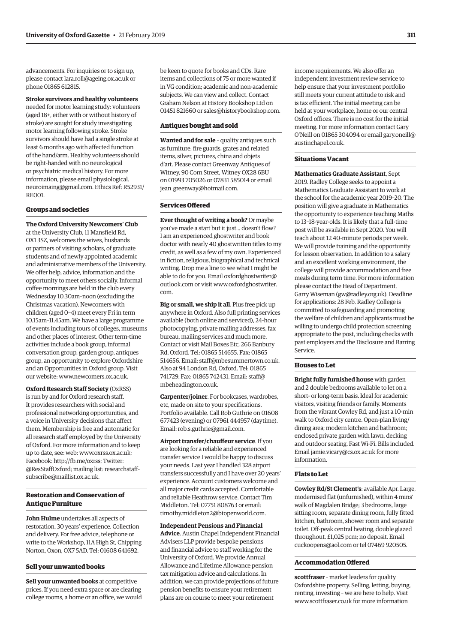advancements. For inquiries or to sign up, please contact [lara.roll@ageing.ox.ac.uk](mailto:lara.roll@ageing.ox.ac.uk) or phone 01865 612815.

#### **Stroke survivors and healthy volunteers**

needed for motor learning study: volunteers (aged 18+, either with or without history of stroke) are sought for study investigating motor learning following stroke. Stroke survivors should have had a single stroke at least 6 months ago with affected function of the hand/arm. Healthy volunteers should be right-handed with no neurological or psychiatric medical history. For more information, please email [physiological.](mailto:physiological.neuroimaing@gmail.com) [neuroimaing@gmail.com.](mailto:physiological.neuroimaing@gmail.com) Ethics Ref: R52931/ RE001.

#### **Groups and societies**

**The Oxford University Newcomers' Club** at the University Club, 11 Mansfield Rd, OX1 3SZ, welcomes the wives, husbands or partners of visiting scholars, of graduate students and of newly appointed academic and administrative members of the University. We offer help, advice, information and the opportunity to meet others socially. Informal coffee mornings are held in the club every Wednesday 10.30am–noon (excluding the Christmas vacation). Newcomers with children (aged 0–4) meet every Fri in term 10.15am–11.45am. We have a large programme of events including tours of colleges, museums and other places of interest. Other term-time activities include a book group, informal conversation group, garden group, antiques group, an opportunity to explore Oxfordshire and an Opportunities in Oxford group. Visit our website: [www.newcomers.ox.ac.uk](http://www.newcomers.ox.ac.uk).

**Oxford Research Staff Society** (OxRSS) is run by and for Oxford research staff. It provides researchers with social and professional networking opportunities, and a voice in University decisions that affect them. Membership is free and automatic for all research staff employed by the University of Oxford. For more information and to keep up to date, see: web: [www.oxrss.ox.ac.uk;](http://www.oxrss.ox.ac.uk) Facebook: [http://fb.me/oxrss;](http://fb.me/oxrss) Twitter: @ResStaffOxford; mailing list: [researchstaff](mailto:researchstaff-subscribe@maillist.ox.ac.uk)[subscribe@maillist.ox.ac.uk.](mailto:researchstaff-subscribe@maillist.ox.ac.uk)

#### **Restoration and Conservation of Antique Furniture**

**John Hulme** undertakes all aspects of restoration. 30 years' experience. Collection and delivery. For free advice, telephone or write to the Workshop, 11A High St, Chipping Norton, Oxon, OX7 5AD. Tel: 01608 641692.

#### **Sell your unwanted books**

**Sell your unwanted books** at competitive prices. If you need extra space or are clearing college rooms, a home or an office, we would be keen to quote for books and CDs. Rare items and collections of 75 or more wanted if in VG condition; academic and non-academic subjects. We can view and collect. Contact Graham Nelson at History Bookshop Ltd on 01451 821660 or [sales@historybookshop.com](mailto:sales@historybookshop.com).

#### **Antiques bought and sold**

**Wanted and for sale** – quality antiques such as furniture, fire guards, grates and related items, silver, pictures, china and objets d'art. Please contact Greenway Antiques of Witney, 90 Corn Street, Witney OX28 6BU on 01993 705026 or 07831 585014 or email [jean\\_greenway@hotmail.com](mailto:jean_greenway@hotmail.com).

#### **Services Offered**

**Ever thought of writing a book?** Or maybe you've made a start but it just... doesn't flow? I am an experienced ghostwriter and book doctor with nearly 40 ghostwritten titles to my credit, as well as a few of my own. Experienced in fiction, religious, biographical and technical writing. Drop me a line to see what I might be able to do for you. Email [oxfordghostwriter@](mailto:oxfordghostwriter@outlook.com) [outlook.com](mailto:oxfordghostwriter@outlook.com) or visit [www.oxfordghostwriter.](http://www.oxfordghostwriter.com) [com.](http://www.oxfordghostwriter.com)

**Big or small, we ship it all**. Plus free pick up anywhere in Oxford. Also full printing services available (both online and serviced), 24-hour photocopying, private mailing addresses, fax bureau, mailing services and much more. Contact or visit Mail Boxes Etc, 266 Banbury Rd, Oxford. Tel: 01865 514655. Fax: 01865 514656. Email: [staff@mbesummertown.co.uk](mailto:staff@mbesummertown.co.uk). Also at 94 London Rd, Oxford. Tel: 01865 741729. Fax: 01865 742431. Email: [staff@](mailto:staff@mbeheadington.co.uk) [mbeheadington.co.uk](mailto:staff@mbeheadington.co.uk).

**Carpenter/joiner**. For bookcases, wardrobes, etc, made on site to your specifications. Portfolio available. Call Rob Guthrie on 01608 677423 (evening) or 07961 444957 (daytime). Email: [rob.s.guthrie@gmail.com.](mailto:rob.s.guthrie@gmail.com)

**Airport transfer/chauffeur service**. If you are looking for a reliable and experienced transfer service I would be happy to discuss your needs. Last year I handled 328 airport transfers successfully and I have over 20 years' experience. Account customers welcome and all major credit cards accepted. Comfortable and reliable Heathrow service. Contact Tim Middleton. Tel: 07751 808763 or email: [timothy.middleton2@btopenworld.com.](mailto:timothy.middleton2@btopenworld.com)

**Independent Pensions and Financial Advice**. Austin Chapel Independent Financial Advisers LLP provide bespoke pensions and financial advice to staff working for the University of Oxford. We provide Annual Allowance and Lifetime Allowance pension tax mitigation advice and calculations. In addition, we can provide projections of future pension benefits to ensure your retirement plans are on course to meet your retirement

income requirements. We also offer an independent investment review service to help ensure that your investment portfolio still meets your current attitude to risk and is tax efficient. The initial meeting can be held at your workplace, home or our central Oxford offices. There is no cost for the initial meeting. For more information contact Gary O'Neill on 01865 304094 or email [gary.oneill@](mailto:gary.oneill@austinchapel.co.uk) [austinchapel.co.uk](mailto:gary.oneill@austinchapel.co.uk).

#### **Situations Vacant**

**Mathematics Graduate Assistant**, Sept 2019. Radley College seeks to appoint a Mathematics Graduate Assistant to work at the school for the academic year 2019–20. The position will give a graduate in Mathematics the opportunity to experience teaching Maths to 13–18-year-olds. It is likely that a full-time post will be available in Sept 2020. You will teach about 12 40-minute periods per week. We will provide training and the opportunity for lesson observation. In addition to a salary and an excellent working environment, the college will provide accommodation and free meals during term time. For more information please contact the Head of Department, Garry Wiseman [\(gw@radley.org.uk](mailto:gw@radley.org.uk)). Deadline for applications: 28 Feb. Radley College is committed to safeguarding and promoting the welfare of children and applicants must be willing to undergo child protection screening appropriate to the post, including checks with past employers and the Disclosure and Barring Service.

#### **Houses to Let**

**Bright fully furnished house** with garden and 2 double bedrooms available to let on a short- or long-term basis. Ideal for academic visitors, visiting friends or family. Moments from the vibrant Cowley Rd, and just a 10-min walk to Oxford city centre. Open-plan living/ dining area; modern kitchen and bathroom; enclosed private garden with lawn, decking and outdoor seating. Fast Wi-Fi. Bills included. Email [jamie.vicary@cs.ox.ac.uk](mailto:jamie.vicary@cs.ox.ac.uk) for more information.

#### **Flats to Let**

**Cowley Rd/St Clement's**: available Apr. Large, modernised flat (unfurnished), within 4 mins' walk of Magdalen Bridge; 3 bedrooms, large sitting room, separate dining room, fully fitted kitchen, bathroom, shower room and separate toilet. Off-peak central heating, double glazed throughout. £1,025 pcm; no deposit. Email [cuckoopens@aol.com](mailto:cuckoopens@aol.com) or tel 07469 920505.

#### **Accommodation Offered**

**scottfraser** – market leaders for quality Oxfordshire property. Selling, letting, buying, renting, investing – we are here to help. Visit [www.scottfraser.co.uk](http://www.scottfraser.co.uk) for more information